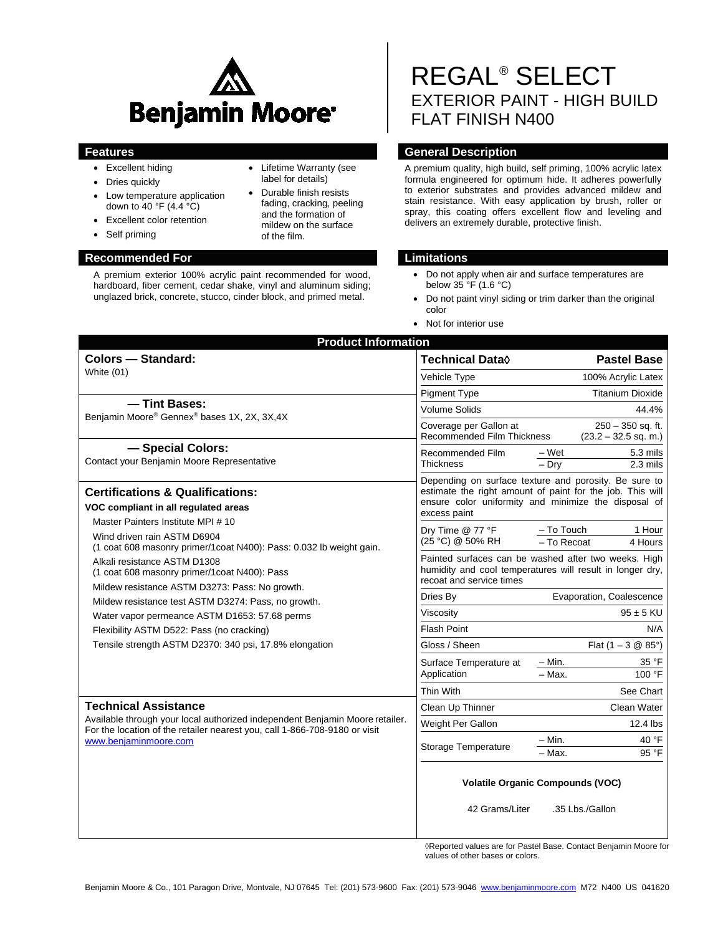

• Lifetime Warranty (see label for details) • Durable finish resists fading, cracking, peeling and the formation of mildew on the surface

of the film.

- Excellent hiding
- Dries quickly
- Low temperature application down to 40 °F (4.4  $\degree$ C)
- Excellent color retention
- Self priming

### **Recommended For Limitations**

A premium exterior 100% acrylic paint recommended for wood, hardboard, fiber cement, cedar shake, vinyl and aluminum siding; unglazed brick, concrete, stucco, cinder block, and primed metal.

# REGAL® SELECT EXTERIOR PAINT - HIGH BUILD FLAT FINISH N400

# **Features General Description**

A premium quality, high build, self priming, 100% acrylic latex formula engineered for optimum hide. It adheres powerfully to exterior substrates and provides advanced mildew and stain resistance. With easy application by brush, roller or spray, this coating offers excellent flow and leveling and delivers an extremely durable, protective finish.

- Do not apply when air and surface temperatures are below 35 °F (1.6 °C)
- Do not paint vinyl siding or trim darker than the original color
- Not for interior use

| <b>Technical Data</b> ♦                                                                                                                       | <b>Pastel Base</b>                                                                                                                                                         |
|-----------------------------------------------------------------------------------------------------------------------------------------------|----------------------------------------------------------------------------------------------------------------------------------------------------------------------------|
| Vehicle Type                                                                                                                                  | 100% Acrylic Latex                                                                                                                                                         |
| <b>Pigment Type</b>                                                                                                                           | <b>Titanium Dioxide</b>                                                                                                                                                    |
| <b>Volume Solids</b>                                                                                                                          | 44.4%                                                                                                                                                                      |
| Coverage per Gallon at<br><b>Recommended Film Thickness</b>                                                                                   | $250 - 350$ sq. ft.<br>$(23.2 - 32.5$ sq. m.)                                                                                                                              |
| Recommended Film<br><b>Thickness</b>                                                                                                          | – Wet<br>5.3 mils                                                                                                                                                          |
|                                                                                                                                               | $-$ Drv<br>$2.3$ mils                                                                                                                                                      |
| excess paint                                                                                                                                  | Depending on surface texture and porosity. Be sure to<br>estimate the right amount of paint for the job. This will<br>ensure color uniformity and minimize the disposal of |
| Dry Time @ 77 °F<br>(25 °C) @ 50% RH                                                                                                          | - To Touch<br>1 Hour<br>- To Recoat<br>4 Hours                                                                                                                             |
| Painted surfaces can be washed after two weeks. High<br>humidity and cool temperatures will result in longer dry,<br>recoat and service times |                                                                                                                                                                            |
| Dries By                                                                                                                                      | Evaporation, Coalescence                                                                                                                                                   |
| Viscosity                                                                                                                                     | $95 \pm 5$ KU                                                                                                                                                              |
| <b>Flash Point</b>                                                                                                                            | N/A                                                                                                                                                                        |
| Gloss / Sheen                                                                                                                                 | Flat $(1 - 3 \ 2 \ 85^{\circ})$                                                                                                                                            |
| Surface Temperature at                                                                                                                        | $-$ Min.<br>35 °F                                                                                                                                                          |
|                                                                                                                                               | $-$ Max.<br>100 °F                                                                                                                                                         |
| Thin With                                                                                                                                     | See Chart                                                                                                                                                                  |
| Clean Up Thinner                                                                                                                              | Clean Water                                                                                                                                                                |
| Weight Per Gallon                                                                                                                             | 12.4 lbs                                                                                                                                                                   |
| <b>Storage Temperature</b>                                                                                                                    | 40 °F<br>– Min.<br>95 °F<br>- Max.                                                                                                                                         |
| 42 Grams/Liter                                                                                                                                | <b>Volatile Organic Compounds (VOC)</b><br>.35 Lbs./Gallon                                                                                                                 |
|                                                                                                                                               | Application                                                                                                                                                                |

◊Reported values are for Pastel Base. Contact Benjamin Moore for values of other bases or colors.